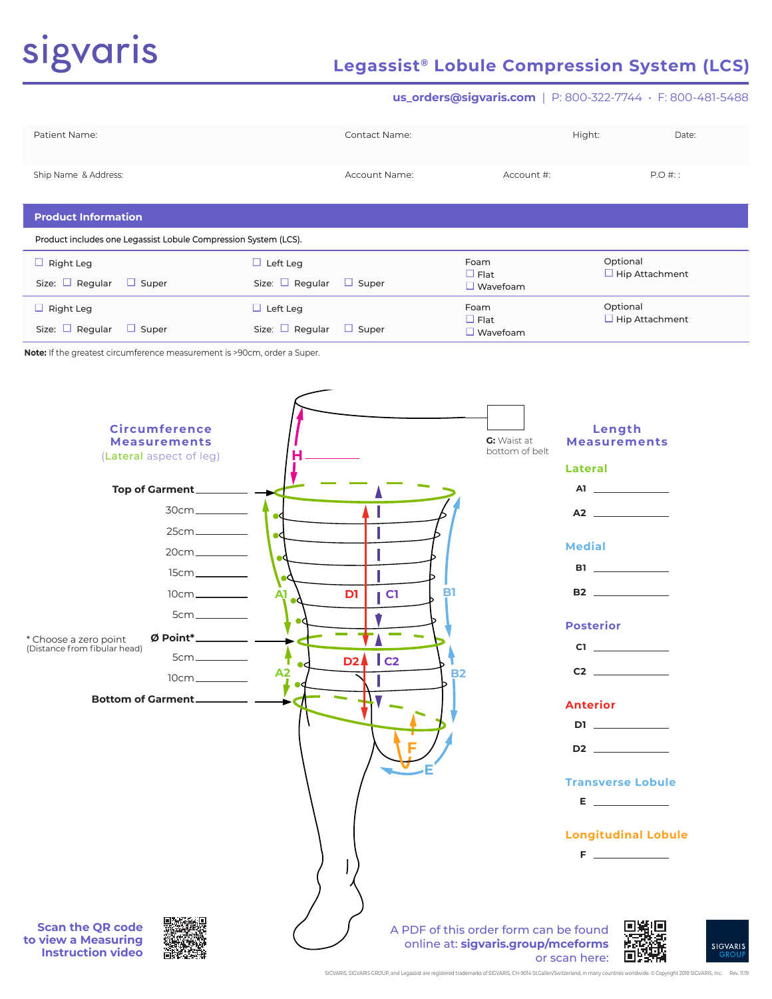# sigvaris

# **Legassist® Lobule Compression System (LCS)**

### **us\_orders@sigvaris.com** | P: 800-322-7744 • F: 800-481-5488

| Patient Name:        | <b>Contact Name:</b> | Hight:     | Date:    |
|----------------------|----------------------|------------|----------|
| Ship Name & Address: | <b>Account Name:</b> | Account #: | $P.O#$ : |

### **Product Information**

Product includes one Legassist Lobule Compression System (LCS).

| $\Box$ Right Leg<br>Size: $\Box$ Regular $\Box$ Super | $\Box$ Left Leg<br>Size: $\Box$ Regular<br>$\Box$ Super | Foam<br>$\Box$ Flat<br>$\Box$ Wavefoam | Optional<br>$\Box$ Hip Attachment |
|-------------------------------------------------------|---------------------------------------------------------|----------------------------------------|-----------------------------------|
| $\Box$ Right Leg                                      | $\Box$ Left Leg                                         | Foam<br>$\Box$ Flat                    | Optional<br>$\Box$ Hip Attachment |
| Size: $\Box$ Regular $\Box$ Super                     | Size: $\Box$ Regular<br>$\Box$ Super                    | Wavefoam                               |                                   |

**Note:** If the greatest circumference measurement is >90cm, order a Super.

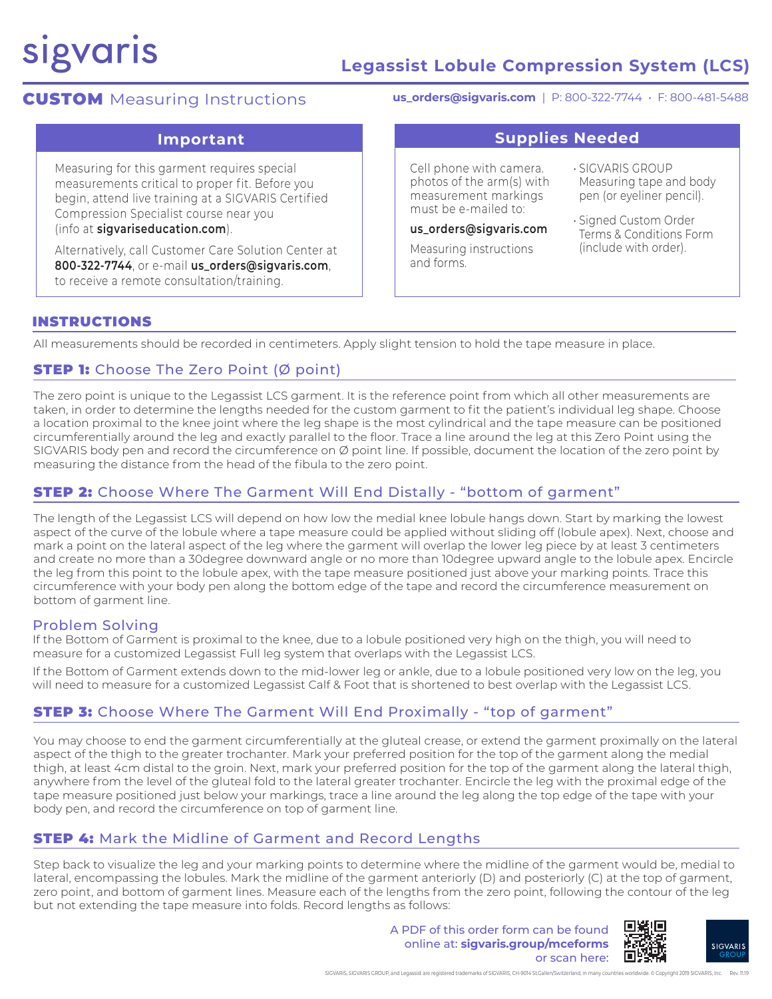# sigvaris

# **Legassist Lobule Compression System (LCS)**

# **CUSTOM** Measuring Instructions

**us\_orders@sigvaris.com** | P: 800-322-7744 • F: 800-481-5488

Measuring for this garment requires special measurements critical to proper fit. Before you begin, attend live training at a SIGVARIS Certified Compression Specialist course near you (info at **sigvariseducation.com**).

Alternatively, call Customer Care Solution Center at **800-322-7744**, or e-mail **us\_orders@sigvaris.com**, to receive a remote consultation/training.

**Important Supplies Needed**

Cell phone with camera. photos of the arm(s) with measurement markings must be e-mailed to:

### **us\_orders@sigvaris.com**

Measuring instructions and forms.

• SIGVARIS GROUP Measuring tape and body pen (or eyeliner pencil).

• Signed Custom Order Terms & Conditions Form (include with order).

## INSTRUCTIONS

All measurements should be recorded in centimeters. Apply slight tension to hold the tape measure in place.

# **STEP 1:** Choose The Zero Point (Ø point)

The zero point is unique to the Legassist LCS garment. It is the reference point from which all other measurements are taken, in order to determine the lengths needed for the custom garment to fit the patient's individual leg shape. Choose a location proximal to the knee joint where the leg shape is the most cylindrical and the tape measure can be positioned circumferentially around the leg and exactly parallel to the floor. Trace a line around the leg at this Zero Point using the SIGVARIS body pen and record the circumference on Ø point line. If possible, document the location of the zero point by measuring the distance from the head of the fibula to the zero point.

# **STEP 2:** Choose Where The Garment Will End Distally - "bottom of garment"

The length of the Legassist LCS will depend on how low the medial knee lobule hangs down. Start by marking the lowest aspect of the curve of the lobule where a tape measure could be applied without sliding off (lobule apex). Next, choose and mark a point on the lateral aspect of the leg where the garment will overlap the lower leg piece by at least 3 centimeters and create no more than a 30degree downward angle or no more than 10degree upward angle to the lobule apex. Encircle the leg from this point to the lobule apex, with the tape measure positioned just above your marking points. Trace this circumference with your body pen along the bottom edge of the tape and record the circumference measurement on bottom of garment line.

## Problem Solving

If the Bottom of Garment is proximal to the knee, due to a lobule positioned very high on the thigh, you will need to measure for a customized Legassist Full leg system that overlaps with the Legassist LCS.

If the Bottom of Garment extends down to the mid-lower leg or ankle, due to a lobule positioned very low on the leg, you will need to measure for a customized Legassist Calf & Foot that is shortened to best overlap with the Legassist LCS.

# **STEP 3:** Choose Where The Garment Will End Proximally - "top of garment"

You may choose to end the garment circumferentially at the gluteal crease, or extend the garment proximally on the lateral aspect of the thigh to the greater trochanter. Mark your preferred position for the top of the garment along the medial thigh, at least 4cm distal to the groin. Next, mark your preferred position for the top of the garment along the lateral thigh, anywhere from the level of the gluteal fold to the lateral greater trochanter. Encircle the leg with the proximal edge of the tape measure positioned just below your markings, trace a line around the leg along the top edge of the tape with your body pen, and record the circumference on top of garment line.

# **STEP 4:** Mark the Midline of Garment and Record Lengths

Step back to visualize the leg and your marking points to determine where the midline of the garment would be, medial to lateral, encompassing the lobules. Mark the midline of the garment anteriorly (D) and posteriorly (C) at the top of garment, zero point, and bottom of garment lines. Measure each of the lengths from the zero point, following the contour of the leg but not extending the tape measure into folds. Record lengths as follows:

> A PDF of this order form can be found online at: **sigvaris.group/mceforms** or scan here: